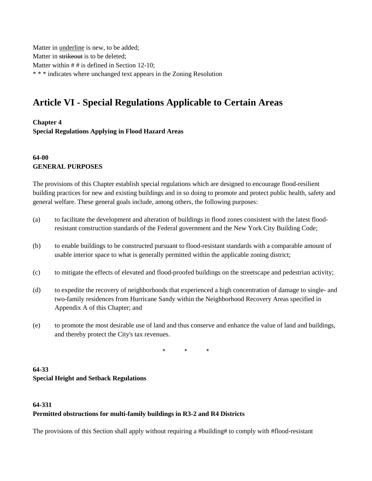Matter in underline is new, to be added; Matter in strikeout is to be deleted; Matter within # # is defined in Section 12-10; \* \* \* indicates where unchanged text appears in the Zoning Resolution

# **Article VI - Special Regulations Applicable to Certain Areas**

**Chapter 4**

**Special Regulations Applying in Flood Hazard Areas**

# **64-00 GENERAL PURPOSES**

The provisions of this Chapter establish special regulations which are designed to encourage flood-resilient building practices for new and existing buildings and in so doing to promote and protect public health, safety and general welfare. These general goals include, among others, the following purposes:

- (a) to facilitate the development and alteration of buildings in flood zones consistent with the latest floodresistant construction standards of the Federal government and the New York City Building Code;
- (b) to enable buildings to be constructed pursuant to flood-resistant standards with a comparable amount of usable interior space to what is generally permitted within the applicable zoning district;
- (c) to mitigate the effects of elevated and flood-proofed buildings on the streetscape and pedestrian activity;
- (d) to expedite the recovery of neighborhoods that experienced a high concentration of damage to single- and two-family residences from Hurricane Sandy within the Neighborhood Recovery Areas specified in Appendix A of this Chapter; and
- (e) to promote the most desirable use of land and thus conserve and enhance the value of land and buildings, and thereby protect the City's tax revenues.

\* \* \*

# **64-33 Special Height and Setback Regulations**

## **64-331 Permitted obstructions for multi-family buildings in R3-2 and R4 Districts**

The provisions of this Section shall apply without requiring a #building# to comply with #flood-resistant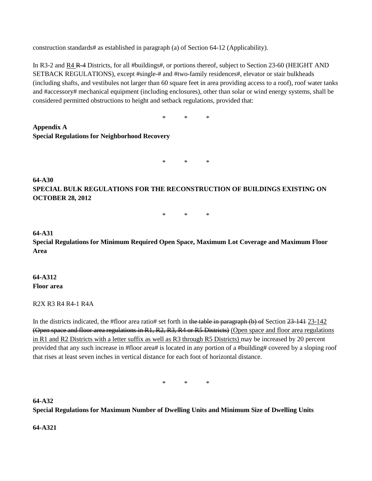construction standards# as established in paragraph (a) of Section 64-12 (Applicability).

In R3-2 and R4 R-4 Districts, for all #buildings#, or portions thereof, subject to Section 23-60 (HEIGHT AND SETBACK REGULATIONS), except #single-# and #two-family residences#, elevator or stair bulkheads (including shafts, and vestibules not larger than 60 square feet in area providing access to a roof), roof water tanks and #accessory# mechanical equipment (including enclosures), other than solar or wind energy systems, shall be considered permitted obstructions to height and setback regulations, provided that:

\* \* \*

**Appendix A Special Regulations for Neighborhood Recovery**

 $*$  \* \*

# **64-A30 SPECIAL BULK REGULATIONS FOR THE RECONSTRUCTION OF BUILDINGS EXISTING ON OCTOBER 28, 2012**

\* \* \*

#### **64-A31**

**Special Regulations for Minimum Required Open Space, Maximum Lot Coverage and Maximum Floor Area** 

#### **64-A312 Floor area**

#### R2X R3 R4 R4-1 R4A

In the districts indicated, the #floor area ratio# set forth in the table in paragraph (b) of Section 23-141 23-142 (Open space and floor area regulations in R1, R2, R3, R4 or R5 Districts) (Open space and floor area regulations in R1 and R2 Districts with a letter suffix as well as R3 through R5 Districts) may be increased by 20 percent provided that any such increase in #floor area# is located in any portion of a #building# covered by a sloping roof that rises at least seven inches in vertical distance for each foot of horizontal distance.

\* \* \*

**64-A32 Special Regulations for Maximum Number of Dwelling Units and Minimum Size of Dwelling Units**

#### **64-A321**